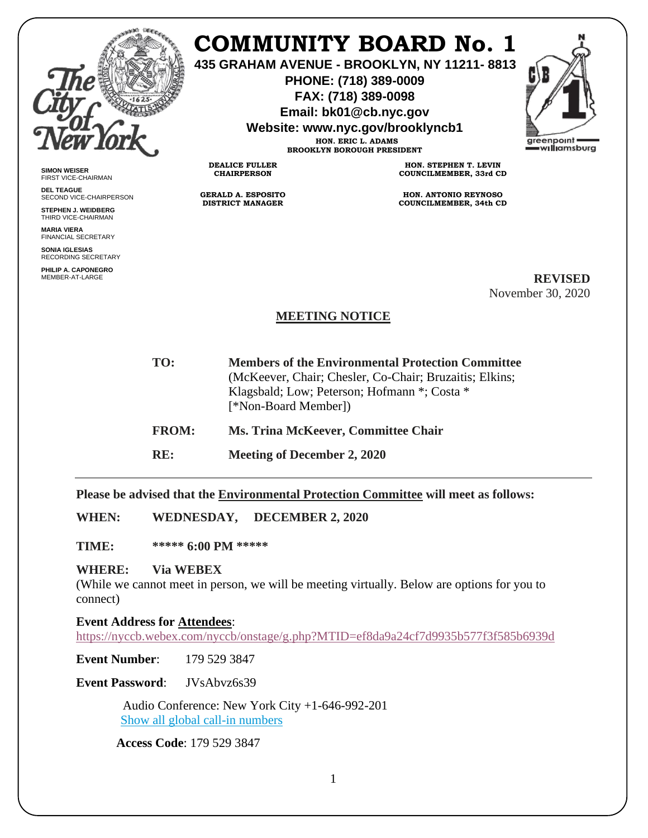

**SIMON WEISER** FIRST VICE-CHAIRMAN **DEL TEAGUE**

SECOND VICE-CHAIRPERSON **STEPHEN J. WEIDBERG** THIRD VICE-CHAIRMAN **MARIA VIERA** FINANCIAL SECRETARY **SONIA IGLESIAS** RECORDING SECRETARY **PHILIP A. CAPONEGRO**

## **COMMUNITY BOARD No. 1**

**435 GRAHAM AVENUE - BROOKLYN, NY 11211- 8813**

**PHONE: (718) 389-0009 FAX: (718) 389-0098**

**Email: bk01@cb.nyc.gov**

**Website: www.nyc.gov/brooklyncb1**

**HON. ERIC L. ADAMS BROOKLYN BOROUGH PRESIDENT**

**DEALICE FULLER CHAIRPERSON**

**GERALD A. ESPOSITO DISTRICT MANAGER**

**HON. STEPHEN T. LEVIN COUNCILMEMBER, 33rd CD**

**HON. ANTONIO REYNOSO COUNCILMEMBER, 34th CD**

MEMBER-AT-LARGE **REVISED** November 30, 2020

## **MEETING NOTICE**

| TO:          | <b>Members of the Environmental Protection Committee</b><br>(McKeever, Chair; Chesler, Co-Chair; Bruzaitis; Elkins;<br>Klagsbald; Low; Peterson; Hofmann *; Costa *<br>[*Non-Board Member]) |
|--------------|---------------------------------------------------------------------------------------------------------------------------------------------------------------------------------------------|
| <b>FROM:</b> | <b>Ms. Trina McKeever, Committee Chair</b>                                                                                                                                                  |
| RE:          | Meeting of December 2, 2020                                                                                                                                                                 |

**Please be advised that the Environmental Protection Committee will meet as follows:**

**WHEN: WEDNESDAY, DECEMBER 2, 2020**

**TIME: \*\*\*\*\* 6:00 PM \*\*\*\*\***

## **WHERE: Via WEBEX**

(While we cannot meet in person, we will be meeting virtually. Below are options for you to connect)

**Event Address for Attendees**: <https://nyccb.webex.com/nyccb/onstage/g.php?MTID=ef8da9a24cf7d9935b577f3f585b6939d>

**Event Number**: 179 529 3847

**Event Password**: JVsAbvz6s39

 Audio Conference: New York City +1-646-992-201 [Show all global call-in numbers](https://nyccb.webex.com/cmp3300/webcomponents/widget/globalcallin/globalcallin.do?siteurl=nyccb&serviceType=EC&eventID=1101180212&tollFree=0)

**Access Code**: 179 529 3847